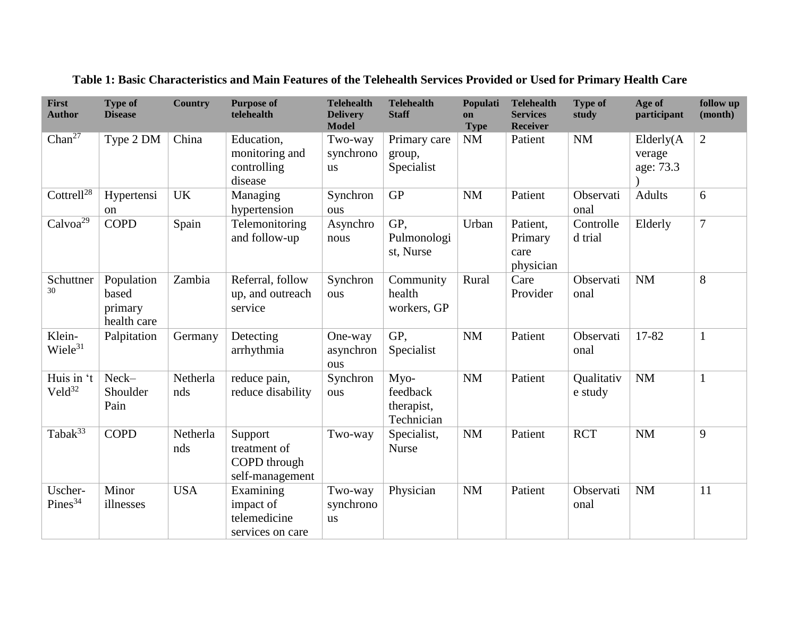| First<br><b>Author</b>    | <b>Type of</b><br><b>Disease</b>              | <b>Country</b>  | <b>Purpose of</b><br>telehealth                            | <b>Telehealth</b><br><b>Delivery</b><br><b>Model</b> | <b>Telehealth</b><br><b>Staff</b>            | Populati<br>on<br><b>Type</b> | <b>Telehealth</b><br><b>Services</b><br><b>Receiver</b> | <b>Type of</b><br>study | Age of<br>participant             | follow up<br>(month) |
|---------------------------|-----------------------------------------------|-----------------|------------------------------------------------------------|------------------------------------------------------|----------------------------------------------|-------------------------------|---------------------------------------------------------|-------------------------|-----------------------------------|----------------------|
| Chan <sup>27</sup>        | Type 2 DM                                     | China           | Education,<br>monitoring and<br>controlling<br>disease     | Two-way<br>synchrono<br><b>us</b>                    | Primary care<br>group,<br>Specialist         | NM                            | Patient                                                 | NM                      | Elderly(A)<br>verage<br>age: 73.3 | $\overline{2}$       |
| Cottrell $^{28}$          | Hypertensi<br>on                              | <b>UK</b>       | Managing<br>hypertension                                   | Synchron<br>ous                                      | <b>GP</b>                                    | <b>NM</b>                     | Patient                                                 | Observati<br>onal       | <b>Adults</b>                     | 6                    |
| Calvo $a^{29}$            | <b>COPD</b>                                   | Spain           | Telemonitoring<br>and follow-up                            | Asynchro<br>nous                                     | GP,<br>Pulmonologi<br>st, Nurse              | Urban                         | Patient,<br>Primary<br>care<br>physician                | Controlle<br>d trial    | Elderly                           | $\overline{7}$       |
| Schuttner<br>30           | Population<br>based<br>primary<br>health care | Zambia          | Referral, follow<br>up, and outreach<br>service            | Synchron<br>ous                                      | Community<br>health<br>workers, GP           | Rural                         | Care<br>Provider                                        | Observati<br>onal       | NM                                | 8                    |
| Klein-<br>$Wiele^{31}$    | Palpitation                                   | Germany         | Detecting<br>arrhythmia                                    | One-way<br>asynchron<br>ous                          | GP,<br>Specialist                            | <b>NM</b>                     | Patient                                                 | Observati<br>onal       | 17-82                             | $\mathbf{1}$         |
| Huis in 't<br>$Veld^{32}$ | Neck-<br>Shoulder<br>Pain                     | Netherla<br>nds | reduce pain,<br>reduce disability                          | Synchron<br>ous                                      | Myo-<br>feedback<br>therapist,<br>Technician | <b>NM</b>                     | Patient                                                 | Qualitativ<br>e study   | NM                                | $\mathbf{1}$         |
| Taba $\overline{k^{33}}$  | <b>COPD</b>                                   | Netherla<br>nds | Support<br>treatment of<br>COPD through<br>self-management | Two-way                                              | Specialist,<br><b>Nurse</b>                  | <b>NM</b>                     | Patient                                                 | <b>RCT</b>              | <b>NM</b>                         | 9                    |
| Uscher-<br>$Pines^{34}$   | Minor<br>illnesses                            | <b>USA</b>      | Examining<br>impact of<br>telemedicine<br>services on care | Two-way<br>synchrono<br><b>us</b>                    | Physician                                    | <b>NM</b>                     | Patient                                                 | Observati<br>onal       | NM                                | 11                   |

**Table 1: Basic Characteristics and Main Features of the Telehealth Services Provided or Used for Primary Health Care**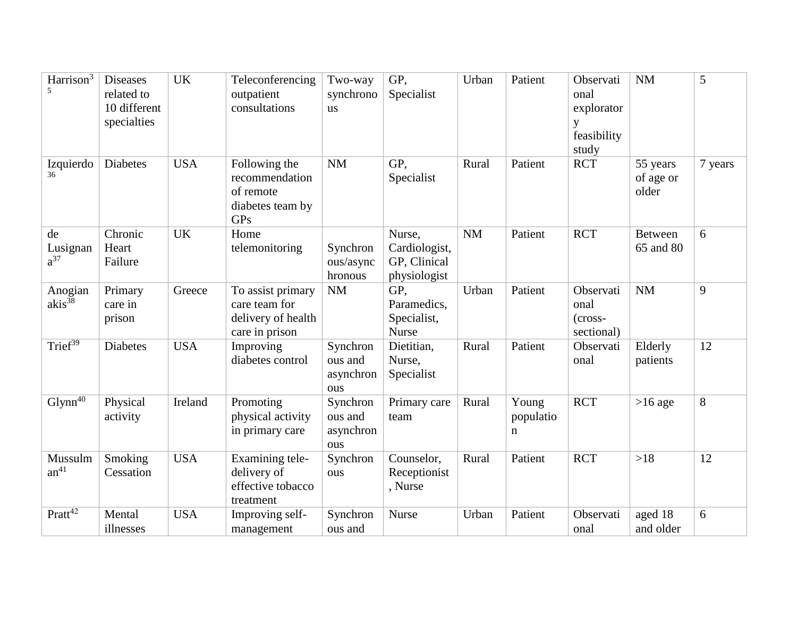| Harrison <sup>3</sup>      | <b>Diseases</b><br>related to<br>10 different<br>specialties | <b>UK</b>  | Teleconferencing<br>outpatient<br>consultations                                | Two-way<br>synchrono<br><b>us</b>       | GP,<br>Specialist                                       | Urban     | Patient                 | Observati<br>onal<br>explorator<br>y<br>feasibility<br>study | <b>NM</b>                      | 5       |
|----------------------------|--------------------------------------------------------------|------------|--------------------------------------------------------------------------------|-----------------------------------------|---------------------------------------------------------|-----------|-------------------------|--------------------------------------------------------------|--------------------------------|---------|
| Izquierdo<br>36            | <b>Diabetes</b>                                              | <b>USA</b> | Following the<br>recommendation<br>of remote<br>diabetes team by<br><b>GPs</b> | <b>NM</b>                               | GP,<br>Specialist                                       | Rural     | Patient                 | <b>RCT</b>                                                   | 55 years<br>of age or<br>older | 7 years |
| de<br>Lusignan<br>$a^{37}$ | Chronic<br>Heart<br>Failure                                  | <b>UK</b>  | Home<br>telemonitoring                                                         | Synchron<br>ous/async<br>hronous        | Nurse,<br>Cardiologist,<br>GP, Clinical<br>physiologist | <b>NM</b> | Patient                 | <b>RCT</b>                                                   | <b>Between</b><br>65 and 80    | 6       |
| Anogian<br>$akis^{38}$     | Primary<br>care in<br>prison                                 | Greece     | To assist primary<br>care team for<br>delivery of health<br>care in prison     | <b>NM</b>                               | GP.<br>Paramedics,<br>Specialist,<br><b>Nurse</b>       | Urban     | Patient                 | Observati<br>onal<br>$(cross-$<br>sectional)                 | NM                             | 9       |
| Trief $39$                 | <b>Diabetes</b>                                              | <b>USA</b> | Improving<br>diabetes control                                                  | Synchron<br>ous and<br>asynchron<br>ous | Dietitian,<br>Nurse,<br>Specialist                      | Rural     | Patient                 | Observati<br>onal                                            | Elderly<br>patients            | 12      |
| $Glynn^{40}$               | Physical<br>activity                                         | Ireland    | Promoting<br>physical activity<br>in primary care                              | Synchron<br>ous and<br>asynchron<br>ous | Primary care<br>team                                    | Rural     | Young<br>populatio<br>n | <b>RCT</b>                                                   | $>16$ age                      | 8       |
| Mussulm<br>$an^{41}$       | Smoking<br>Cessation                                         | <b>USA</b> | Examining tele-<br>delivery of<br>effective tobacco<br>treatment               | Synchron<br>ous                         | Counselor,<br>Receptionist<br>, Nurse                   | Rural     | Patient                 | <b>RCT</b>                                                   | >18                            | 12      |
| Pratt <sup>42</sup>        | Mental<br>illnesses                                          | <b>USA</b> | Improving self-<br>management                                                  | Synchron<br>ous and                     | <b>Nurse</b>                                            | Urban     | Patient                 | Observati<br>onal                                            | aged 18<br>and older           | 6       |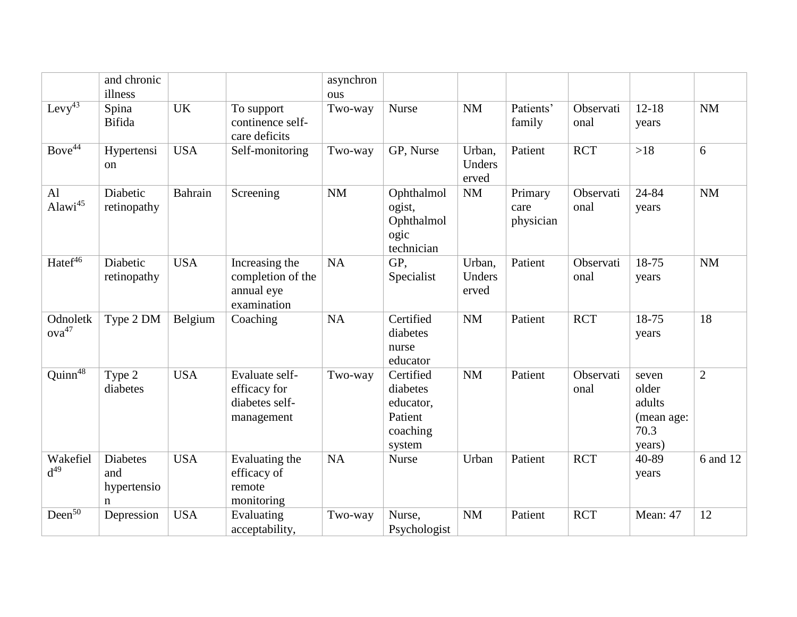|                               | and chronic<br>illness                     |                |                                                                  | asynchron<br>ous |                                                                     |                           |                              |                   |                                                          |                |
|-------------------------------|--------------------------------------------|----------------|------------------------------------------------------------------|------------------|---------------------------------------------------------------------|---------------------------|------------------------------|-------------------|----------------------------------------------------------|----------------|
| $Levy^{43}$                   | Spina<br>Bifida                            | <b>UK</b>      | To support<br>continence self-<br>care deficits                  | Two-way          | <b>Nurse</b>                                                        | <b>NM</b>                 | Patients'<br>family          | Observati<br>onal | $12 - 18$<br>years                                       | <b>NM</b>      |
| Bove <sup>44</sup>            | Hypertensi<br><sub>on</sub>                | <b>USA</b>     | Self-monitoring                                                  | Two-way          | GP, Nurse                                                           | Urban,<br>Unders<br>erved | Patient                      | <b>RCT</b>        | $>18$                                                    | 6              |
| Al<br>Alawi <sup>45</sup>     | Diabetic<br>retinopathy                    | <b>Bahrain</b> | Screening                                                        | <b>NM</b>        | Ophthalmol<br>ogist,<br>Ophthalmol<br>ogic<br>technician            | <b>NM</b>                 | Primary<br>care<br>physician | Observati<br>onal | 24-84<br>years                                           | <b>NM</b>      |
| Hatef <sup>46</sup>           | Diabetic<br>retinopathy                    | <b>USA</b>     | Increasing the<br>completion of the<br>annual eye<br>examination | <b>NA</b>        | GP,<br>Specialist                                                   | Urban,<br>Unders<br>erved | Patient                      | Observati<br>onal | 18-75<br>years                                           | <b>NM</b>      |
| Odnoletk<br>ova <sup>47</sup> | Type 2 DM                                  | Belgium        | Coaching                                                         | <b>NA</b>        | Certified<br>diabetes<br>nurse<br>educator                          | <b>NM</b>                 | Patient                      | <b>RCT</b>        | 18-75<br>years                                           | 18             |
| Quinn <sup>48</sup>           | Type 2<br>diabetes                         | <b>USA</b>     | Evaluate self-<br>efficacy for<br>diabetes self-<br>management   | Two-way          | Certified<br>diabetes<br>educator,<br>Patient<br>coaching<br>system | <b>NM</b>                 | Patient                      | Observati<br>onal | seven<br>older<br>adults<br>(mean age:<br>70.3<br>years) | $\overline{2}$ |
| Wakefiel<br>$d^{49}$          | <b>Diabetes</b><br>and<br>hypertensio<br>n | <b>USA</b>     | Evaluating the<br>efficacy of<br>remote<br>monitoring            | <b>NA</b>        | <b>Nurse</b>                                                        | Urban                     | Patient                      | <b>RCT</b>        | 40-89<br>years                                           | 6 and 12       |
| Deen $\overline{50}$          | Depression                                 | <b>USA</b>     | Evaluating<br>acceptability,                                     | Two-way          | Nurse,<br>Psychologist                                              | <b>NM</b>                 | Patient                      | <b>RCT</b>        | Mean: 47                                                 | 12             |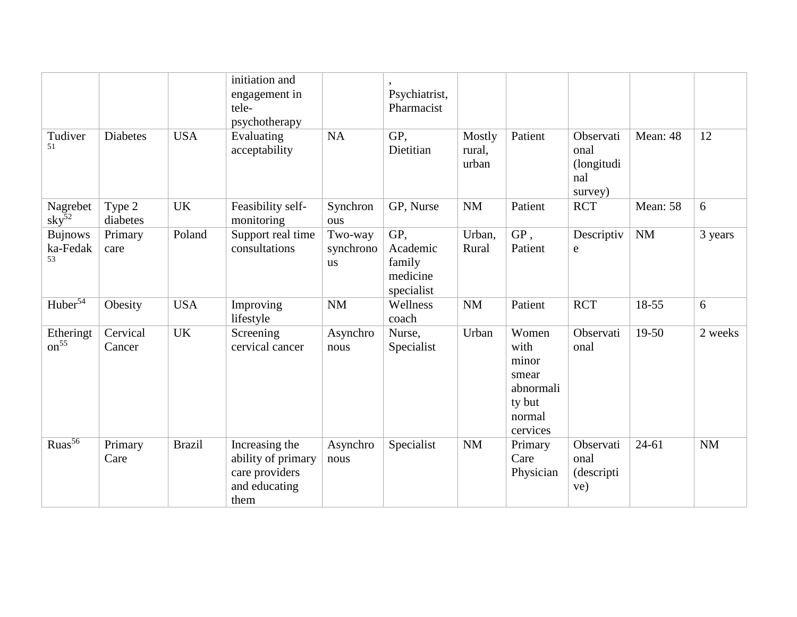|                                  |                    |               | initiation and<br>engagement in<br>tele-<br>psychotherapy                       |                                   | Psychiatrist,<br>Pharmacist                         |                           |                                                                              |                                                   |           |           |
|----------------------------------|--------------------|---------------|---------------------------------------------------------------------------------|-----------------------------------|-----------------------------------------------------|---------------------------|------------------------------------------------------------------------------|---------------------------------------------------|-----------|-----------|
| Tudiver<br>51                    | <b>Diabetes</b>    | <b>USA</b>    | Evaluating<br>acceptability                                                     | NA                                | GP,<br>Dietitian                                    | Mostly<br>rural,<br>urban | Patient                                                                      | Observati<br>onal<br>(longitudi<br>nal<br>survey) | Mean: 48  | 12        |
| Nagrebet<br>$\mathrm{sky}^{52}$  | Type 2<br>diabetes | <b>UK</b>     | Feasibility self-<br>monitoring                                                 | Synchron<br>ous                   | GP, Nurse                                           | <b>NM</b>                 | Patient                                                                      | <b>RCT</b>                                        | Mean: 58  | 6         |
| <b>Bujnows</b><br>ka-Fedak<br>53 | Primary<br>care    | Poland        | Support real time<br>consultations                                              | Two-way<br>synchrono<br><b>us</b> | GP,<br>Academic<br>family<br>medicine<br>specialist | Urban,<br>Rural           | GP,<br>Patient                                                               | Descriptiv<br>e                                   | NM        | 3 years   |
| Huber <sup>54</sup>              | Obesity            | <b>USA</b>    | Improving<br>lifestyle                                                          | <b>NM</b>                         | Wellness<br>coach                                   | <b>NM</b>                 | Patient                                                                      | <b>RCT</b>                                        | 18-55     | 6         |
| Etheringt<br>$\text{on}^{55}$    | Cervical<br>Cancer | UK            | Screening<br>cervical cancer                                                    | Asynchro<br>nous                  | Nurse,<br>Specialist                                | Urban                     | Women<br>with<br>minor<br>smear<br>abnormali<br>ty but<br>normal<br>cervices | Observati<br>onal                                 | 19-50     | 2 weeks   |
| $Ruas^{56}$                      | Primary<br>Care    | <b>Brazil</b> | Increasing the<br>ability of primary<br>care providers<br>and educating<br>them | Asynchro<br>nous                  | Specialist                                          | <b>NM</b>                 | Primary<br>Care<br>Physician                                                 | Observati<br>onal<br>(descripti<br>ve)            | $24 - 61$ | <b>NM</b> |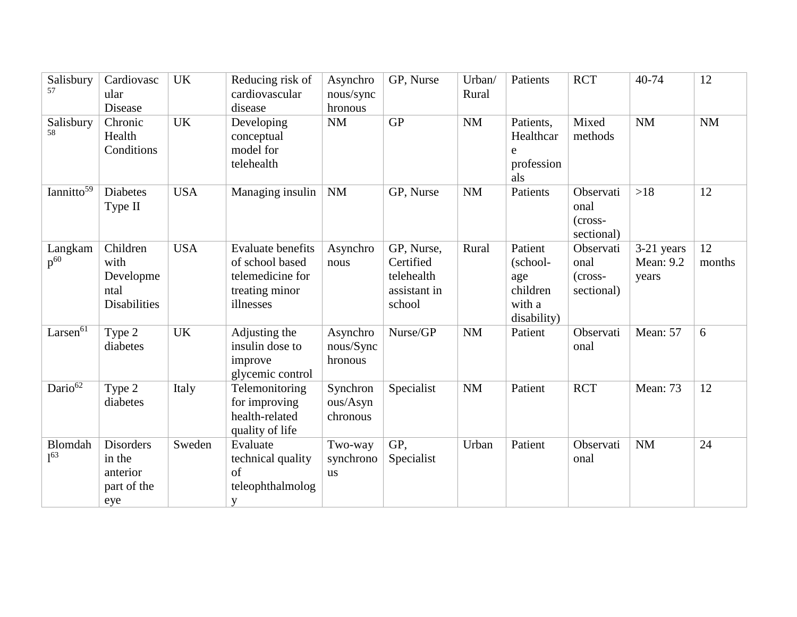| Salisbury<br>57            | Cardiovasc<br>ular<br>Disease                                | <b>UK</b>  | Reducing risk of<br>cardiovascular<br>disease                                                  | Asynchro<br>nous/sync<br>hronous  | GP, Nurse                                                       | Urban/<br>Rural | Patients                                                        | <b>RCT</b>                                   | 40-74                                   | 12           |
|----------------------------|--------------------------------------------------------------|------------|------------------------------------------------------------------------------------------------|-----------------------------------|-----------------------------------------------------------------|-----------------|-----------------------------------------------------------------|----------------------------------------------|-----------------------------------------|--------------|
| Salisbury<br>58            | Chronic<br>Health<br>Conditions                              | <b>UK</b>  | Developing<br>conceptual<br>model for<br>telehealth                                            | <b>NM</b>                         | <b>GP</b>                                                       | <b>NM</b>       | Patients,<br>Healthcar<br>e<br>profession<br>als                | Mixed<br>methods                             | <b>NM</b>                               | <b>NM</b>    |
| Iannitto $\overline{59}$   | <b>Diabetes</b><br>Type II                                   | <b>USA</b> | Managing insulin                                                                               | <b>NM</b>                         | GP, Nurse                                                       | <b>NM</b>       | Patients                                                        | Observati<br>onal<br>(cross-<br>sectional)   | $>18$                                   | 12           |
| Langkam<br>$p^{60}$        | Children<br>with<br>Developme<br>ntal<br><b>Disabilities</b> | <b>USA</b> | <b>Evaluate benefits</b><br>of school based<br>telemedicine for<br>treating minor<br>illnesses | Asynchro<br>nous                  | GP, Nurse,<br>Certified<br>telehealth<br>assistant in<br>school | Rural           | Patient<br>(school-<br>age<br>children<br>with a<br>disability) | Observati<br>onal<br>$(cross-$<br>sectional) | 3-21 years<br><b>Mean: 9.2</b><br>years | 12<br>months |
| Larsen $6\overline{1}$     | Type 2<br>diabetes                                           | <b>UK</b>  | Adjusting the<br>insulin dose to<br>improve<br>glycemic control                                | Asynchro<br>nous/Sync<br>hronous  | Nurse/GP                                                        | <b>NM</b>       | Patient                                                         | Observati<br>onal                            | Mean: 57                                | 6            |
| Dario $\overline{62}$      | Type 2<br>diabetes                                           | Italy      | Telemonitoring<br>for improving<br>health-related<br>quality of life                           | Synchron<br>ous/Asyn<br>chronous  | Specialist                                                      | <b>NM</b>       | Patient                                                         | <b>RCT</b>                                   | Mean: 73                                | 12           |
| Blomdah<br>1 <sup>63</sup> | <b>Disorders</b><br>in the<br>anterior<br>part of the<br>eye | Sweden     | Evaluate<br>technical quality<br>of<br>teleophthalmolog<br>y                                   | Two-way<br>synchrono<br><b>us</b> | GP,<br>Specialist                                               | Urban           | Patient                                                         | Observati<br>onal                            | <b>NM</b>                               | 24           |